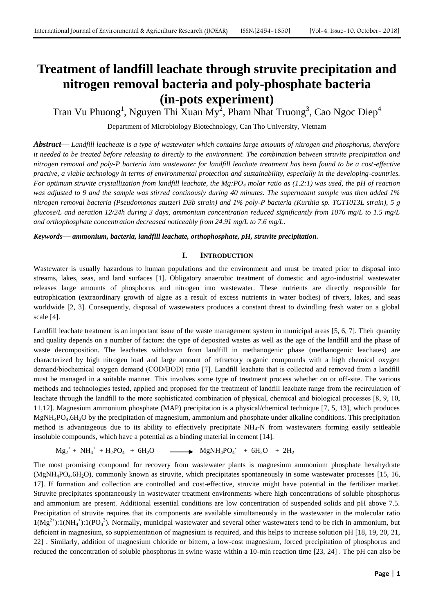# **Treatment of landfill leachate through struvite precipitation and nitrogen removal bacteria and poly-phosphate bacteria (in-pots experiment)**

Tran Vu Phuong<sup>1</sup>, Nguyen Thi Xuan My<sup>2</sup>, Pham Nhat Truong<sup>3</sup>, Cao Ngoc Diep<sup>4</sup>

Department of Microbiology Biotechnology, Can Tho University, Vietnam

*Abstract***—** *Landfill leacheate is a type of wastewater which contains large amounts of nitrogen and phosphorus, therefore it needed to be treated before releasing to directly to the environment. The combination between struvite precipitation and nitrogen removal and poly-P bacteria into wastewater for landfill leachate treatment has been found to be a cost-effective practive, a viable technology in terms of environmental protection and sustainability, especially in the developing-countries. For optimum struvite crystallization from landfill leachate, the Mg:PO<sup>4</sup> molar ratio as (1.2:1) was used, the pH of reaction was adjusted to 9 and the sample was stirred continously during 40 minutes. The supernatant sample was then added 1% nitrogen removal bacteria (Pseudomonas stutzeri D3b strain) and 1% poly-P bacteria (Kurthia sp. TGT1013L strain), 5 g glucose/L and aeration 12/24h during 3 days, ammonium concentration reduced significantly from 1076 mg/L to 1.5 mg/L and orthophosphate concentration decreased noticeably from 24.91 mg/L to 7.6 mg/L.*

*Keywords***—** *ammonium, bacteria, landfill leachate, orthophosphate, pH, struvite precipitation.*

#### **I. INTRODUCTION**

Wastewater is usually hazardous to human populations and the environment and must be treated prior to disposal into streams, lakes, seas, and land surfaces [1]. Obligatory anaerobic treatment of domestic and agro-industrial wastewater releases large amounts of phosphorus and nitrogen into wastewater. These nutrients are directly responsible for eutrophication (extraordinary growth of algae as a result of excess nutrients in water bodies) of rivers, lakes, and seas worldwide [2, 3]. Consequently, disposal of wastewaters produces a constant threat to dwindling fresh water on a global scale [4].

Landfill leachate treatment is an important issue of the waste management system in municipal areas [5, 6, 7]. Their quantity and quality depends on a number of factors: the type of deposited wastes as well as the age of the landfill and the phase of waste decomposition. The leachates withdrawn from landfill in methanogenic phase (methanogenic leachates) are characterized by high nitrogen load and large amount of refractory organic compounds with a high chemical oxygen demand/biochemical oxygen demand (COD/BOD) ratio [7]. Landfill leachate that is collected and removed from a landfill must be managed in a suitable manner. This involves some type of treatment process whether on or off-site. The various methods and technologies tested, applied and proposed for the treatment of landfill leachate range from the recirculation of leachate through the landfill to the more sophisticated combination of physical, chemical and biological processes [8, 9, 10, 11,12]. Magnesium ammonium phosphate (MAP) precipitation is a physical/chemical technique [7, 5, 13], which produces MgNH4PO4.6H2O by the precipitation of magnesium, ammonium and phosphate under alkaline conditions. This precipitation method is advantageous due to its ability to effectively precipitate  $NH<sub>4</sub>-N$  from wastewaters forming easily settleable insoluble compounds, which have a potential as a binding material in cement [14].

$$
Mg_2^+ + NH_4^+ + H_2PO_4 + 6H_2O \longrightarrow MgNH_4PO_4^- + 6H_2O + 2H_2
$$

The most promising compound for recovery from wastewater plants is magnesium ammonium phosphate hexahydrate  $(MgNH_4PO_4.6H_2O)$ , commonly known as struvite, which precipitates spontaneously in some wastewater processes [15, 16, 17]. If formation and collection are controlled and cost-effective, struvite might have potential in the fertilizer market. Struvite precipitates spontaneously in wastewater treatment environments where high concentrations of soluble phosphorus and ammonium are present. Additional essential conditions are low concentration of suspended solids and pH above 7.5. Precipitation of struvite requires that its components are available simultaneously in the wastewater in the molecular ratio  $1(Mg<sup>2+</sup>):1(NH<sub>4</sub><sup>+</sup>):1(PO<sub>4</sub><sup>3</sup>). Normally, municipal wastewater and several other wastewaters tend to be rich in ammonium, but$ deficient in magnesium, so supplementation of magnesium is required, and this helps to increase solution pH [18, 19, 20, 21, 22] . Similarly, addition of magnesium chloride or bittern, a low-cost magnesium, forced precipitation of phosphorus and reduced the concentration of soluble phosphorus in swine waste within a 10-min reaction time [23, 24] . The pH can also be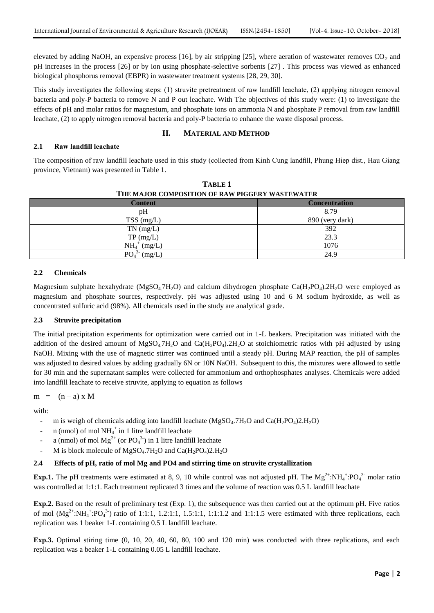elevated by adding NaOH, an expensive process [16], by air stripping [25], where aeration of wastewater removes  $CO<sub>2</sub>$  and pH increases in the process [26] or by ion using phosphate-selective sorbents [27] . This process was viewed as enhanced biological phosphorus removal (EBPR) in wastewater treatment systems [28, 29, 30].

This study investigates the following steps: (1) struvite pretreatment of raw landfill leachate, (2) applying nitrogen removal bacteria and poly-P bacteria to remove N and P out leachate. With The objectives of this study were: (1) to investigate the effects of pH and molar ratios for magnesium, and phosphate ions on ammonia N and phosphate P removal from raw landfill leachate, (2) to apply nitrogen removal bacteria and poly-P bacteria to enhance the waste disposal process.

#### **II. MATERIAL AND METHOD**

#### **2.1 Raw landfill leachate**

The composition of raw landfill leachate used in this study (collected from Kinh Cung landfill, Phung Hiep dist., Hau Giang province, Vietnam) was presented in Table 1.

| THE MAJOR COMPOSITION OF RAW PIGGERY WASTEWATER |                      |  |
|-------------------------------------------------|----------------------|--|
| <b>Content</b>                                  | <b>Concentration</b> |  |
| pH                                              | 8.79                 |  |
| $TSS$ (mg/L)                                    | 890 (very dark)      |  |
| $TN$ (mg/L)                                     | 392                  |  |
| $TP \, (mg/L)$                                  | 23.3                 |  |
| $NH_4^+$ (mg/L)                                 | 1076                 |  |
| PO <sub>4</sub><br>(mg/L)                       | 24.9                 |  |

**TABLE 1 THE MAJOR COMPOSITION OF RAW PIGGERY WASTEWATER**

#### **2.2 Chemicals**

Magnesium sulphate hexahydrate (MgSO<sub>4</sub>.7H<sub>2</sub>O) and calcium dihydrogen phosphate Ca(H<sub>2</sub>PO<sub>4</sub>).2H<sub>2</sub>O were employed as magnesium and phosphate sources, respectively. pH was adjusted using 10 and 6 M sodium hydroxide, as well as concentrated sulfuric acid (98%). All chemicals used in the study are analytical grade.

#### **2.3 Struvite precipitation**

The initial precipitation experiments for optimization were carried out in 1-L beakers. Precipitation was initiated with the addition of the desired amount of  $MgSO_4.7H_2O$  and  $Ca(H_2PO_4).2H_2O$  at stoichiometric ratios with pH adjusted by using NaOH. Mixing with the use of magnetic stirrer was continued until a steady pH. During MAP reaction, the pH of samples was adjusted to desired values by adding gradually 6N or 10N NaOH. Subsequent to this, the mixtures were allowed to settle for 30 min and the supernatant samples were collected for ammonium and orthophosphates analyses. Chemicals were added into landfill leachate to receive struvite, applying to equation as follows

 $m = (n-a) \times M$ 

with:

- m is weigh of chemicals adding into landfill leachate  $(MgSO_4.7H_2O$  and  $Ca(H_2PO_4)2.H_2O$
- n (nmol) of mol  $NH_4^+$  in 1 litre landfill leachate
- a (nmol) of mol  $Mg^{2+}$  (or  $PO_4^{3-}$ ) in 1 litre landfill leachate
- M is block molecule of MgSO<sub>4</sub>.7H<sub>2</sub>O and Ca(H<sub>2</sub>PO<sub>4</sub>)2.H<sub>2</sub>O

#### **2.4 Effects of pH, ratio of mol Mg and PO4 and stirring time on struvite crystallization**

**Exp.1.** The pH treatments were estimated at 8, 9, 10 while control was not adjusted pH. The  $Mg^{2+} : NH_4^+ : PO_4^{3-}$  molar ratio was controlled at 1:1:1. Each treatment replicated 3 times and the volume of reaction was 0.5 L landfill leachate

**Exp.2.** Based on the result of preliminary test (Exp. 1), the subsequence was then carried out at the optimum pH. Five ratios of mol  $(Mg^{2+} : NH_4^* : PO_4^3)$  ratio of 1:1:1, 1.2:1:1, 1.5:1:1, 1:1:1.2 and 1:1:1.5 were estimated with three replications, each replication was 1 beaker 1-L containing 0.5 L landfill leachate.

**Exp.3.** Optimal stiring time (0, 10, 20, 40, 60, 80, 100 and 120 min) was conducted with three replications, and each replication was a beaker 1-L containing 0.05 L landfill leachate.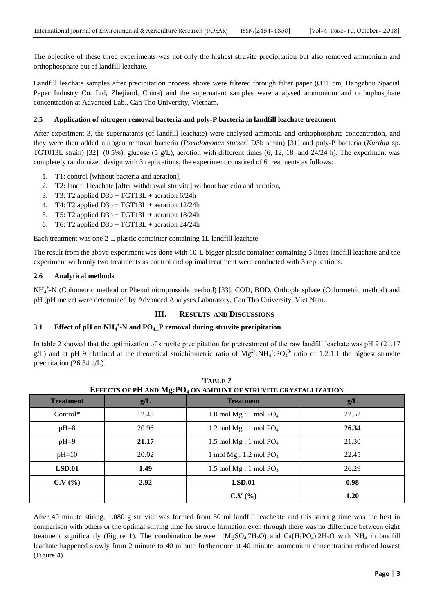The objective of these three experiments was not only the highest struvite precipitation but also removed ammonium and orthophosphate out of landfill leachate.

Landfill leachate samples after precipitation process above were filtered through filter paper (Ø11 cm, Hangzhou Spacial Paper Industry Co. Ltd, Zhejiand, China) and the supernatant samples were analysed ammonium and orthophosphate concentration at Advanced Lab., Can Tho University, Vietnam**.**

#### **2.5 Application of nitrogen removal bacteria and poly-P bacteria in landfill leachate treatment**

After experiment 3, the supernatants (of landfill leachate) were analysed ammonia and orthophosphate concentration, and they were then added nitrogen removal bacteria (*Pseudomonas stutzeri* D3b strain) [31] and poly-P bacteria (*Kurthia* sp. TGT013L strain) [32] (0.5%), glucose (5 g/L), aerotion with different times (6, 12, 18 and 24/24 h). The experiment was completely randomized design with 3 replications, the experiment constited of 6 treatments as follows:

- 1. T1: control [without bacteria and aeration],
- 2. T2: landfill leachate [after withdrawal struvite] without bacteria and aeration,
- 3. T3: T2 applied  $D3b + TGT13L +$  aeration  $6/24h$
- 4. T4: T2 applied  $D3b + TGT13L +$  aeration  $12/24h$
- 5. T5: T2 applied  $D3b + TGT13L +$  aeration 18/24h
- 6. T6: T2 applied  $D3b + TGT13L +$  aeration 24/24h

Each treatment was one 2-L plastic containter containing 1L landfill leachate

The result from the above experiment was done with 10-L bigger plastic container containing 5 litres landfill leachate and the experiment with only two treatments as control and optimal treatment were conducted with 3 replications.

#### **2.6 Analytical methods**

NH<sup>4</sup> + -N (Colometric method or Phenol nitroprusside method) [33], COD, BOD, Orthophosphate (Colormetric method) and pH (pH meter) were determined by Advanced Analyses Laboratory, Can Tho University, Viet Nam.

#### **III. RESULTS AND DISCUSSIONS**

# **3.1 Effect of pH on NH<sup>4</sup> + -N and PO4\_P removal during struvite precipitation**

In table 2 showed that the optimization of struvite precipitation for pretreatment of the raw landfill leachate was pH 9 (21.17 g/L) and at pH 9 obtained at the theoretical stoichiometric ratio of  $Mg^{2+} : NH_4^+ : PO_4^3$  ratio of 1.2:1:1 the highest struvite precititation (26.34 g/L).

| EFFECTS OF PH AND Mg:PO <sub>4</sub> ON AMOUNT OF STRUVITE CRYSTALLIZATION |       |                           |       |
|----------------------------------------------------------------------------|-------|---------------------------|-------|
| <b>Treatment</b>                                                           | g/L   | <b>Treatment</b>          | g/L   |
| $Control*$                                                                 | 12.43 | 1.0 mol $Mg:1$ mol $PO4$  | 22.52 |
| $pH=8$                                                                     | 20.96 | 1.2 mol $Mg: 1$ mol $PO4$ | 26.34 |
| $pH=9$                                                                     | 21.17 | 1.5 mol $Mg:1$ mol $PO4$  | 21.30 |
| $pH=10$                                                                    | 20.02 | 1 mol $Mg: 1.2$ mol $PO4$ | 22.45 |
| LSD.01                                                                     | 1.49  | 1.5 mol $Mg:1$ mol $PO4$  | 26.29 |
| C.V(%)                                                                     | 2.92  | LSD.01                    | 0.98  |
|                                                                            |       | C.V(%)                    | 1.20  |

| TABLE 2                                                                    |
|----------------------------------------------------------------------------|
| EFFECTS OF PH AND Mg:PO <sub>4</sub> ON AMOUNT OF STRUVITE CRYSTALLIZATION |

After 40 minute stiring, 1.080 g struvite was formed from 50 ml landfill leacheate and this stirring time was the best in comparison with others or the optimal stirring time for struvie formation even through there was no difference between eight treatment significantly (Figure 1). The combination between  $(MgSO_4,7H_2O)$  and  $Ca(H_2PO_4).2H_2O$  with NH<sub>4</sub> in landfill leachate happened slowly from 2 minute to 40 minute furthermore at 40 minute, ammonium concentration reduced lowest (Figure 4).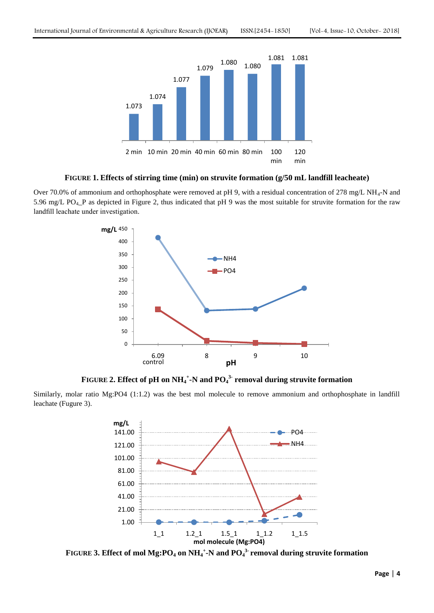

#### **FIGURE 1. Effects of stirring time (min) on struvite formation (g/50 mL landfill leacheate)**

Over 70.0% of ammonium and orthophosphate were removed at pH 9, with a residual concentration of 278 mg/L NH<sub>4</sub>-N and 5.96 mg/L PO<sub>4</sub>\_P as depicted in Figure 2, thus indicated that pH 9 was the most suitable for struvite formation for the raw landfill leachate under investigation.



**FIGURE 2. Effect of pH on NH<sup>4</sup> + -N and PO<sup>4</sup> 3- removal during struvite formation**

Similarly, molar ratio Mg:PO4 (1:1.2) was the best mol molecule to remove ammonium and orthophosphate in landfill leachate (Fugure 3).



**FIGURE 3. Effect of mol Mg:PO<sup>4</sup> on NH<sup>4</sup> + -N and PO<sup>4</sup> 3- removal during struvite formation**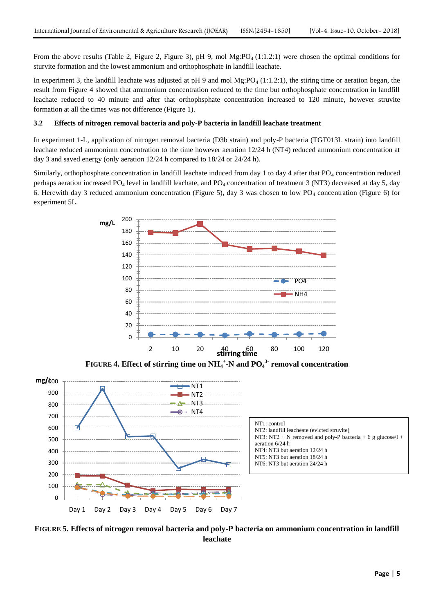From the above results (Table 2, Figure 2, Figure 3), pH 9, mol Mg:PO<sub>4</sub> (1:1.2:1) were chosen the optimal conditions for sturvite formation and the lowest ammonium and orthophosphate in landfill leachate.

In experiment 3, the landfill leachate was adjusted at pH 9 and mol Mg: $PO_4$  (1:1.2:1), the stiring time or aeration began, the result from Figure 4 showed that ammonium concentration reduced to the time but orthophosphate concentration in landfill leachate reduced to 40 minute and after that orthophsphate concentration increased to 120 minute, however struvite formation at all the times was not difference (Figure 1).

#### **3.2 Effects of nitrogen removal bacteria and poly-P bacteria in landfill leachate treatment**

In experiment 1-L, application of nitrogen removal bacteria (D3b strain) and poly-P bacteria (TGT013L strain) into landfill leachate reduced ammonium concentration to the time however aeration 12/24 h (NT4) reduced ammonium concentration at day 3 and saved energy (only aeration 12/24 h compared to 18/24 or 24/24 h).

Similarly, orthophosphate concentration in landfill leachate induced from day 1 to day 4 after that  $PO_4$  concentration reduced perhaps aeration increased PO<sub>4</sub> level in landfill leachate, and PO<sub>4</sub> concentration of treatment 3 (NT3) decreased at day 5, day 6. Herewith day 3 reduced ammonium concentration (Figure 5), day 3 was chosen to low  $PO_4$  concentration (Figure 6) for experiment 5L.



**FIGURE 5. Effects of nitrogen removal bacteria and poly-P bacteria on ammonium concentration in landfill leachate**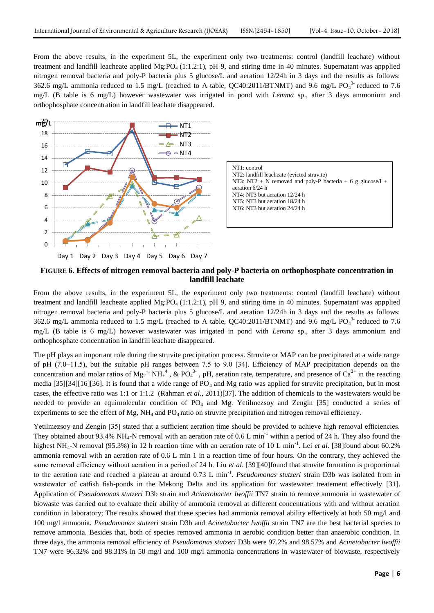From the above results, in the experiment 5L, the experiment only two treatments: control (landfill leachate) without treatment and landfill leacheate applied Mg:PO<sub>4</sub> (1:1.2:1), pH 9, and stiring time in 40 minutes. Supernatant was appplied nitrogen removal bacteria and poly-P bacteria plus 5 glucose/L and aeration 12/24h in 3 days and the results as follows: 362.6 mg/L ammonia reduced to 1.5 mg/L (reached to A table, QC40:2011/BTNMT) and 9.6 mg/L PO $_4^{3}$  reduced to 7.6 mg/L (B table is 6 mg/L) however wastewater was irrigated in pond with *Lemma* sp., after 3 days ammonium and orthophosphate concentration in landfill leachate disappeared.





## **FIGURE 6. Effects of nitrogen removal bacteria and poly-P bacteria on orthophosphate concentration in landfill leachate**

From the above results, in the experiment 5L, the experiment only two treatments: control (landfill leachate) without treatment and landfill leacheate applied Mg:PO<sub>4</sub> (1:1.2:1), pH 9, and stiring time in 40 minutes. Supernatant was appplied nitrogen removal bacteria and poly-P bacteria plus 5 glucose/L and aeration 12/24h in 3 days and the results as follows: 362.6 mg/L ammonia reduced to 1.5 mg/L (reached to A table, QC40:2011/BTNMT) and 9.6 mg/L PO $_4^3$  reduced to 7.6 mg/L (B table is 6 mg/L) however wastewater was irrigated in pond with *Lemma* sp., after 3 days ammonium and orthophosphate concentration in landfill leachate disappeared.

The pH plays an important role during the struvite precipitation process. Struvite or MAP can be precipitated at a wide range of pH (7.0–11.5), but the suitable pH ranges between 7.5 to 9.0 [34]. Efficiency of MAP precipitation depends on the concentration and molar ratios of  $Mg_2^+$ ,  $NH_+^4$ , & PO<sub>4</sub><sup>3</sup>, pH, aeration rate, temperature, and presence of Ca<sup>2+</sup> in the reacting media [35][34][16][36]. It is found that a wide range of  $PO_4$  and Mg ratio was applied for struvite precipitation, but in most cases, the effective ratio was 1:1 or 1:1.2 (Rahman *et al*., 2011)[37]. The addition of chemicals to the wastewaters would be needed to provide an equimolecular condition of PO<sup>4</sup> and Mg. Yetilmezsoy and Zengin [35] conducted a series of experiments to see the effect of Mg,  $NH_4$  and  $PO_4$  ratio on struvite precipitation and nitrogen removal efficiency.

Yetilmezsoy and Zengin [35] stated that a sufficient aeration time should be provided to achieve high removal efficiencies. They obtained about 93.4% NH<sub>4</sub>-N removal with an aeration rate of 0.6 L min<sup>-1</sup> within a period of 24 h. They also found the highest NH<sub>4</sub>-N removal (95.3%) in 12 h reaction time with an aeration rate of 10 L min<sup>-1</sup>. Lei *et al.* [38] found about 60.2% ammonia removal with an aeration rate of 0.6 L min 1 in a reaction time of four hours. On the contrary, they achieved the same removal efficiency without aeration in a period of 24 h. Liu *et al*. [39][40]found that struvite formation is proportional to the aeration rate and reached a plateau at around 0.73 L min<sup>-1</sup>. *Pseudomonas stutzeri* strain D3b was isolated from in wastewater of catfish fish-ponds in the Mekong Delta and its application for wastewater treatement effectively [31]. Application of *Pseudomonas stutzeri* D3b strain and *Acinetobacter lwoffii* TN7 strain to remove ammonia in wastewater of biowaste was carried out to evaluate their ability of ammonia removal at different concentrations with and without aeration condition in laboratory; The results showed that these species had ammonia removal ability effectively at both 50 mg/l and 100 mg/l ammonia. *Pseudomonas stutzeri* strain D3b and *Acinetobacter lwoffii* strain TN7 are the best bacterial species to remove ammonia. Besides that, both of species removed ammonia in aerobic condition better than anaerobic condition. In three days, the ammonia removal efficiency of *Pseudomonas stutzeri* D3b were 97.2% and 98.57% and *Acinetobacter lwoffii* TN7 were 96.32% and 98.31% in 50 mg/l and 100 mg/l ammonia concentrations in wastewater of biowaste, respectively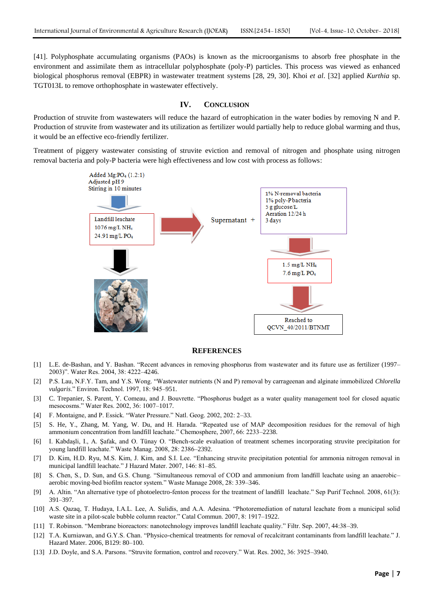[41]. Polyphosphate accumulating organisms (PAOs) is known as the microorganisms to absorb free phosphate in the environment and assimilate them as intracellular polyphosphate (poly-P) particles. This process was viewed as enhanced biological phosphorus removal (EBPR) in wastewater treatment systems [28, 29, 30]. Khoi *et al*. [32] applied *Kurthia* sp. TGT013L to remove orthophosphate in wastewater effectively.

#### **IV. CONCLUSION**

Production of struvite from wastewaters will reduce the hazard of eutrophication in the water bodies by removing N and P. Production of struvite from wastewater and its utilization as fertilizer would partially help to reduce global warming and thus, it would be an effective eco-friendly fertilizer.

Treatment of piggery wastewater consisting of struvite eviction and removal of nitrogen and phosphate using nitrogen removal bacteria and poly-P bacteria were high effectiveness and low cost with process as follows:



## **REFERENCES**

- [1] L.E. de-Bashan, and Y. Bashan. "Recent advances in removing phosphorus from wastewater and its future use as fertilizer (1997– 2003)". Water Res. 2004, 38: 4222-4246.
- [2] P.S. Lau, N.F.Y. Tam, and Y.S. Wong. "Wastewater nutrients (N and P) removal by carrageenan and alginate immobilized *Chlorella vulgaris.*" Environ. Technol. 1997, 18: 945-951.
- [3] C. Trepanier, S. Parent, Y. Comeau, and J. Bouvrette. "Phosphorus budget as a water quality management tool for closed aquatic mesocosms." Water Res. 2002, 36: 1007-1017.
- [4] F. Montaigne, and P. Essick. "Water Pressure." Natl. Geog. 2002, 202: 2-33.
- [5] S. He, Y., Zhang, M. Yang, W. Du, and H. Harada. "Repeated use of MAP decomposition residues for the removal of high ammonium concentration from landfill leachate.‖ Chemosphere, 2007, 66: 2233–2238.
- [6] I. Kabdaşli, I., A. Şafak, and O. Tünay O. "Bench-scale evaluation of treatment schemes incorporating struvite precipitation for young landfill leachate." Waste Manag. 2008, 28: 2386-2392.
- [7] D. Kim, H.D. Ryu, M.S. Kim, J. Kim, and S.I. Lee. "Enhancing struvite precipitation potential for ammonia nitrogen removal in municipal landfill leachate." J Hazard Mater. 2007, 146: 81-85.
- [8] S. Chen, S., D. Sun, and G.S. Chung. "Simultaneous removal of COD and ammonium from landfill leachate using an anaerobicaerobic moving-bed biofilm reactor system." Waste Manage 2008, 28: 339-346.
- [9] A. Altin. "An alternative type of photoelectro-fenton process for the treatment of landfill leachate." Sep Purif Technol. 2008, 61(3): 391–397.
- [10] A.S. Qazaq, T. Hudaya, I.A.L. Lee, A. Sulidis, and A.A. Adesina. "Photoremediation of natural leachate from a municipal solid waste site in a pilot-scale bubble column reactor." Catal Commun. 2007, 8: 1917–1922.
- [11] T. Robinson. "Membrane bioreactors: nanotechnology improves landfill leachate quality." Filtr. Sep. 2007, 44:38–39.
- [12] T.A. Kurniawan, and G.Y.S. Chan. "Physico-chemical treatments for removal of recalcitrant contaminants from landfill leachate." J. Hazard Mater. 2006, B129: 80–100.
- [13] J.D. Doyle, and S.A. Parsons. "Struvite formation, control and recovery." Wat. Res. 2002, 36: 3925–3940.